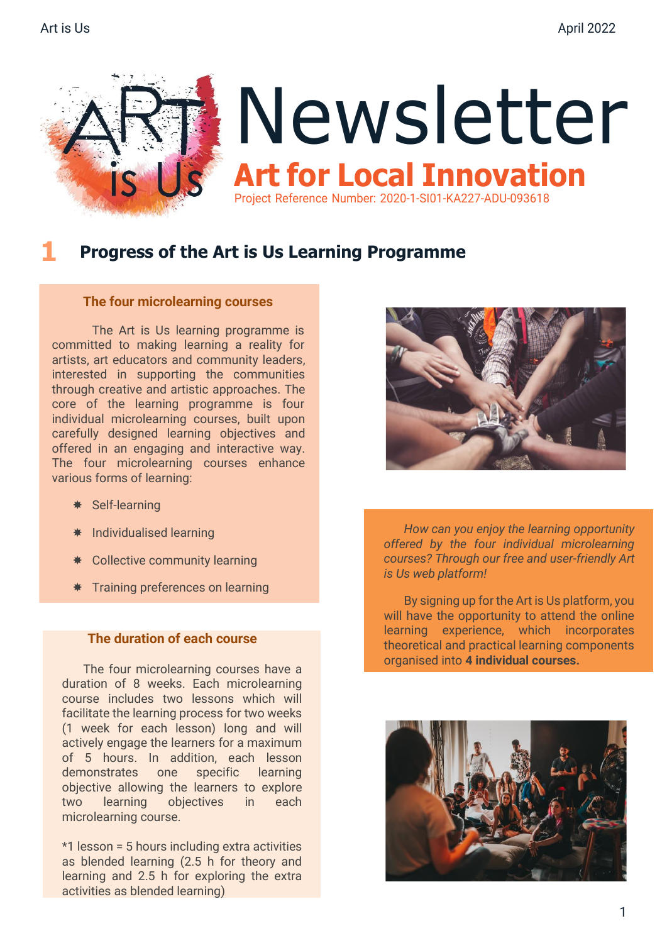

#### **1 Progress of the Art is Us Learning Programme**

#### **The four microlearning courses**

 The Art is Us learning programme is committed to making learning a reality for artists, art educators and community leaders, interested in supporting the communities through creative and artistic approaches. The core of the learning programme is four individual microlearning courses, built upon carefully designed learning objectives and offered in an engaging and interactive way. The four microlearning courses enhance various forms of learning:

- \* Self-learning
- Individualised learning
- $★$  Collective community learning
- **\*** Training preferences on learning

#### **The duration of each course**

 The four microlearning courses have a duration of 8 weeks. Each microlearning course includes two lessons which will facilitate the learning process for two weeks (1 week for each lesson) long and will actively engage the learners for a maximum of 5 hours. In addition, each lesson demonstrates one specific learning objective allowing the learners to explore two learning objectives in each microlearning course.

\*1 lesson = 5 hours including extra activities as blended learning (2.5 h for theory and learning and 2.5 h for exploring the extra activities as blended learning)



 *How can you enjoy the learning opportunity offered by the four individual microlearning courses? Through our free and user-friendly Art is Us web platform!*

By signing up for the Art is Us platform, you will have the opportunity to attend the online learning experience, which incorporates theoretical and practical learning components organised into **4 individual courses.**

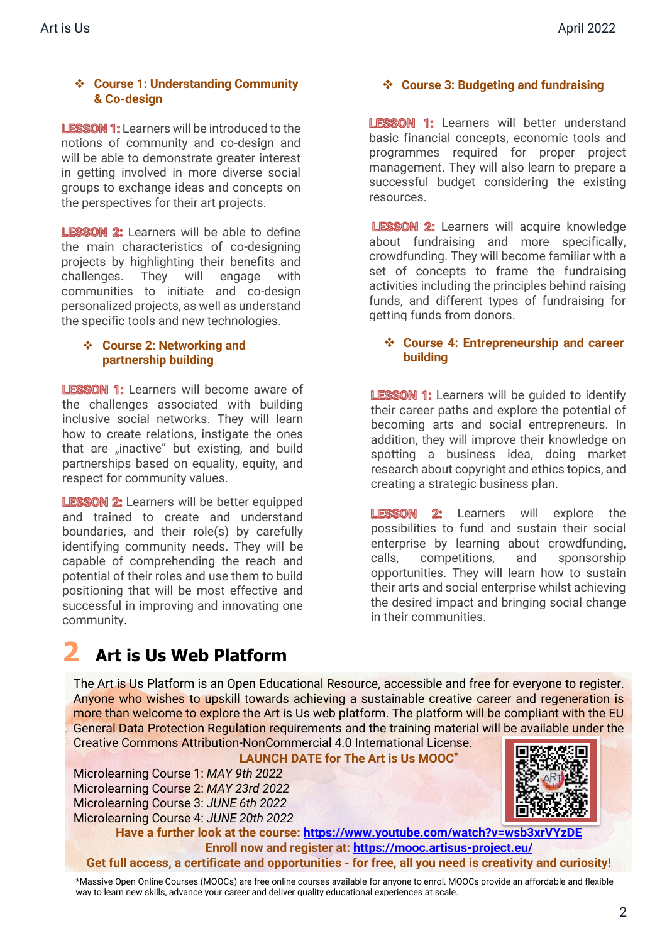#### ❖ **Course 1: Understanding Community & Co-design**

**LESSON 1:** Learners will be introduced to the notions of community and co-design and will be able to demonstrate greater interest in getting involved in more diverse social groups to exchange ideas and concepts on the perspectives for their art projects.

**LESSON 2:** Learners will be able to define the main characteristics of co-designing projects by highlighting their benefits and challenges. They will engage with communities to initiate and co-design personalized projects, as well as understand the specific tools and new technologies.

#### ❖ **Course 2: Networking and partnership building**

LESSON 1: Learners will become aware of the challenges associated with building inclusive social networks. They will learn how to create relations, instigate the ones that are "inactive" but existing, and build partnerships based on equality, equity, and respect for community values.

**LESSON 2:** Learners will be better equipped and trained to create and understand boundaries, and their role(s) by carefully identifying community needs. They will be capable of comprehending the reach and potential of their roles and use them to build positioning that will be most effective and successful in improving and innovating one community.

### ❖ **Course 3: Budgeting and fundraising**

LESSON 1: Learners will better understand basic financial concepts, economic tools and programmes required for proper project management. They will also learn to prepare a successful budget considering the existing resources.

LESSON 2: Learners will acquire knowledge about fundraising and more specifically, crowdfunding. They will become familiar with a set of concepts to frame the fundraising activities including the principles behind raising funds, and different types of fundraising for getting funds from donors.

#### ❖ **Course 4: Entrepreneurship and career building**

**LESSON 1:** Learners will be quided to identify their career paths and explore the potential of becoming arts and social entrepreneurs. In addition, they will improve their knowledge on spotting a business idea, doing market research about copyright and ethics topics, and creating a strategic business plan.

**LESSON 2:** Learners will explore the possibilities to fund and sustain their social enterprise by learning about crowdfunding, calls, competitions, and sponsorship opportunities. They will learn how to sustain their arts and social enterprise whilst achieving the desired impact and bringing social change in their communities.

# **2 Art is Us Web Platform**

The Art is Us Platform is an Open Educational Resource, accessible and free for everyone to register. Anyone who wishes to upskill towards achieving a sustainable creative career and regeneration is more than welcome to explore the Art is Us web platform. The platform will be compliant with the EU General Data Protection Regulation requirements and the training material will be available under the Creative Commons Attribution-NonCommercial 4.0 International License.

#### **LAUNCH DATE for The Art is Us MOOC\***

Microlearning Course 1: *MAY 9th 2022* Microlearning Course 2: *MAY 23rd 2022*  Microlearning Course 3: *JUNE 6th 2022* Microlearning Course 4: *JUNE 20th 2022*

**Have a further look at the course:<https://www.youtube.com/watch?v=wsb3xrVYzDE> Enroll now and register at: <https://mooc.artisus-project.eu/> Get full access, a certificate and opportunities - for free, all you need is creativity and curiosity!**

\*Massive Open Online Courses (MOOCs) are free online courses available for anyone to enrol. MOOCs provide an affordable and flexible way to learn new skills, advance your career and deliver quality educational experiences at scale.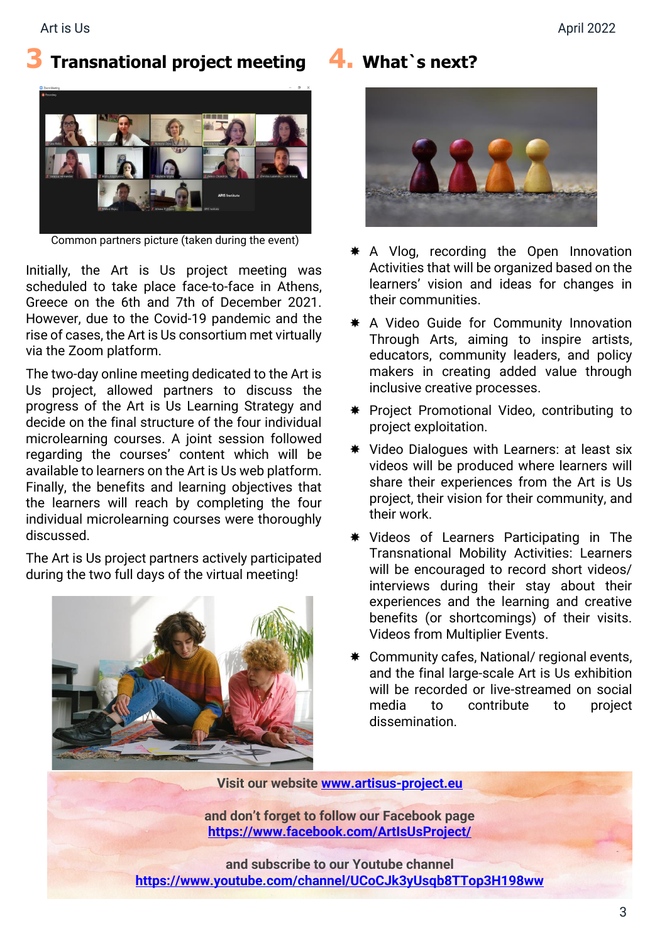### **3 Transnational project meeting**



Common partners picture (taken during the event)

Initially, the Art is Us project meeting was scheduled to take place face-to-face in Athens, Greece on the 6th and 7th of December 2021. However, due to the Covid-19 pandemic and the rise of cases, the Art is Us consortium met virtually via the Zoom platform.

The two-day online meeting dedicated to the Art is Us project, allowed partners to discuss the progress of the Art is Us Learning Strategy and decide on the final structure of the four individual microlearning courses. A joint session followed regarding the courses' content which will be available to learners on the Art is Us web platform. Finally, the benefits and learning objectives that the learners will reach by completing the four individual microlearning courses were thoroughly discussed.

The Art is Us project partners actively participated during the two full days of the virtual meeting!



**4. What`s next?**



- \* A Vlog, recording the Open Innovation Activities that will be organized based on the learners' vision and ideas for changes in their communities.
- \* A Video Guide for Community Innovation Through Arts, aiming to inspire artists, educators, community leaders, and policy makers in creating added value through inclusive creative processes.
- \* Project Promotional Video, contributing to project exploitation.
- $*$  Video Dialogues with Learners: at least six videos will be produced where learners will share their experiences from the Art is Us project, their vision for their community, and their work.
- Videos of Learners Participating in The Transnational Mobility Activities: Learners will be encouraged to record short videos/ interviews during their stay about their experiences and the learning and creative benefits (or shortcomings) of their visits. Videos from Multiplier Events.
- Community cafes, National/ regional events, and the final large-scale Art is Us exhibition will be recorded or live-streamed on social media to contribute to project dissemination.

**Visit our website [www.artisus-project.eu](http://www.artisus-project.eu/)**

**and don't forget to follow our Facebook page <https://www.facebook.com/ArtIsUsProject/>**

**and subscribe to our Youtube channel <https://www.youtube.com/channel/UCoCJk3yUsqb8TTop3H198ww>**